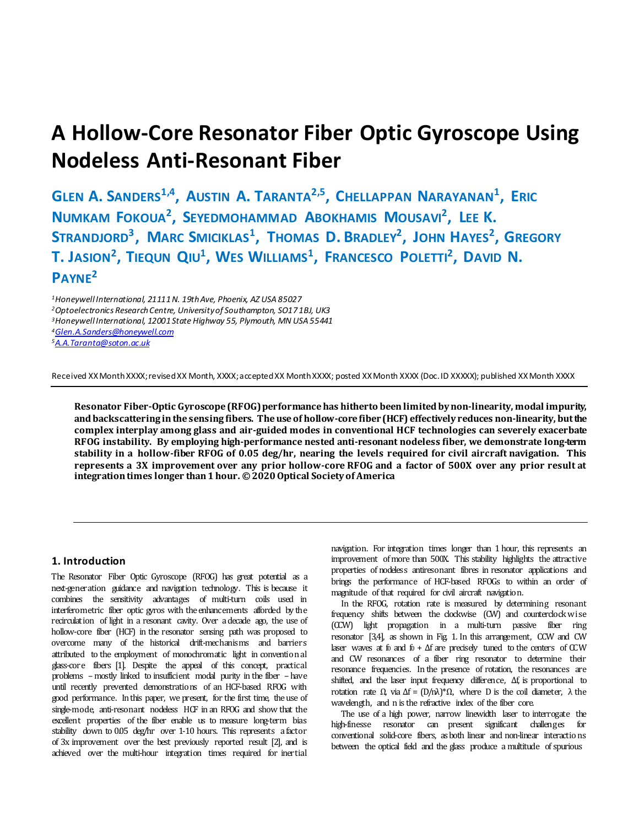# **A Hollow-Core Resonator Fiber Optic Gyroscope Using Nodeless Anti-Resonant Fiber**

**GLEN A. SANDERS1,4 , AUSTIN A. TARANTA2,5 , CHELLAPPAN NARAYANAN1 , ERIC NUMKAM FOKOUA2 , SEYEDMOHAMMAD ABOKHAMIS MOUSAVI2 , LEE K.**  $\textsf{STRANDJORD}^3$ , Marc Smiciklas<sup>1</sup>, Thomas D. Bradley<sup>2</sup>, John Hayes<sup>2</sup>, Gregory **T. JASION2 , TIEQUN QIU1 , WES WILLIAMS1 , FRANCESCO POLETTI2 , DAVID N. PAYNE2**

*1Honeywell International, 21111 N. 19th Ave, Phoenix, AZ USA 85027 2Optoelectronics Research Centre, University of Southampton, SO17 1BJ, UK3 3Honeywell International, 12001 State Highway 55, Plymouth, MN USA 55441 [4Glen.A.Sanders@honeywell.com](mailto:Glen.A.Sanders@honeywell.com) [5A.A.Taranta@soton.ac.uk](mailto:A.A.Taranta@soton.ac.uk)*

Received XX Month XXXX; revised XX Month, XXXX; accepted XX Month XXXX; posted XX Month XXXX (Doc. ID XXXXX); published XX Month XXXX

**Resonator Fiber-Optic Gyroscope (RFOG) performance has hitherto been limited by non-linearity, modal impurity, and backscattering in the sensing fibers. The use of hollow-core fiber (HCF) effectively reduces non-linearity, but the complex interplay among glass and air-guided modes in conventional HCF technologies can severely exacerbate RFOG instability. By employing high-performance nested anti-resonant nodeless fiber, we demonstrate long-term stability in a hollow-fiber RFOG of 0.05 deg/hr, nearing the levels required for civil aircraft navigation. This represents a 3X improvement over any prior hollow-core RFOG and a factor of 500X over any prior result at integration times longer than 1 hour. © 2020 Optical Society of America**

## **1. Introduction**

The Resonator Fiber Optic Gyroscope (RFOG) has great potential as a next-generation guidance and navigation technology. This is because it combines the sensitivity advantages of multi-turn coils used in interferometric fiber optic gyros with the enhancements afforded by the recirculation of light in a resonant cavity. Over a decade ago, the use of hollow-core fiber (HCF) in the resonator sensing path was proposed to overcome many of the historical drift-mechanisms and barriers attributed to the employment of monochromatic light in conventional glass-core fibers [1]. Despite the appeal of this concept, practical problems –mostly linked to insufficient modal purity in the fiber –have until recently prevented demonstrations of an HCF-based RFOG with good performance. In this paper, we present, for the first time, the use of single-mode, anti-resonant nodeless HCF in an RFOG and show that the excellent properties of the fiber enable us to measure long-term bias stability down to 0.05 deg/hr over 1-10 hours. This represents a factor of 3x improvement over the best previously reported result [2], and is achieved over the multi-hour integration times required for inertial

navigation. For integration times longer than 1 hour, this represents an improvement of more than 500X. This stability highlights the attractive properties of nodeless antiresonant fibres in resonator applications and brings the performance of HCF-based RFOGs to within an order of magnitude of that required for civil aircraft navigation.

In the RFOG, rotation rate is measured by determining resonant frequency shifts between the clockwise (CW) and counterclock wise (CCW) light propagation in a multi-turn passive fiber ring resonator [3,4], as shown in Fig. 1. In this arrangement, CCW and CW laser waves at f0 and f0 +  $\Delta$ f are precisely tuned to the centers of CCW and CW resonances of a fiber ring resonator to determine their resonance frequencies. In the presence of rotation, the resonances are shifted, and the laser input frequency difference, Δf, is proportional to rotation rate  $\Omega$ , via  $\Delta f = (D/n\lambda)^*\Omega$ , where D is the coil diameter, λ the wavelength, and n is the refractive index of the fiber core.

The use of a high power, narrow linewidth laser to interrogate the high-finesse resonator can present significant challenges for conventional solid-core fibers, as both linear and non-linear interactions between the optical field and the glass produce a multitude of spurious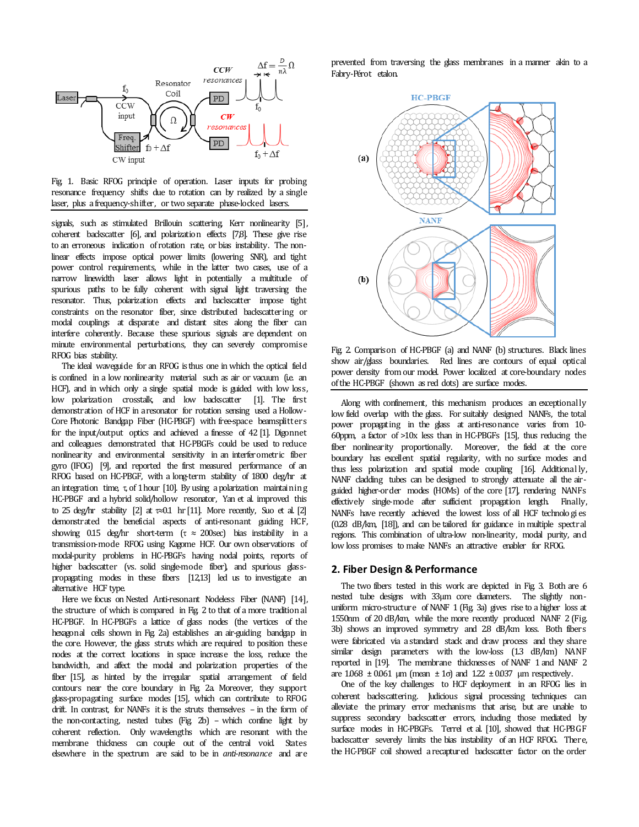

Fig. 1. Basic RFOG principle of operation. Laser inputs for probing resonance frequency shifts due to rotation can by realized by a single laser, plus a frequency-shifter, or two separate phase-locked lasers.

signals, such as stimulated Brillouin scattering, Kerr nonlinearity [5], coherent backscatter [6], and polarization effects [7,8]. These give rise to an erroneous indication of rotation rate, or bias instability. The nonlinear effects impose optical power limits (lowering SNR), and tight power control requirements, while in the latter two cases, use of a narrow linewidth laser allows light in potentially a multitude of spurious paths to be fully coherent with signal light traversing the resonator. Thus, polarization effects and backscatter impose tight constraints on the resonator fiber, since distributed backscattering or modal couplings at disparate and distant sites along the fiber can interfere coherently. Because these spurious signals are dependent on minute environmental perturbations, they can severely compromise RFOG bias stability.

The ideal waveguide for an RFOG is thus one in which the optical field is confined in a low nonlinearity material such as air or vacuum (i.e. an HCF), and in which only a single spatial mode is guided with low loss, low polarization crosstalk, and low backscatter [1]. The first demonstration of HCF in a resonator for rotation sensing used a Hollow-Core Photonic Bandgap Fiber (HC-PBGF) with free-space beamsplitt ers for the input/output optics and achieved a finesse of 42 [1]. Digonnet and colleagues demonstrated that HC-PBGFs could be used to reduce nonlinearity and environmental sensitivity in an interferometric fiber gyro (IFOG) [9], and reported the first measured performance of an RFOG based on HC-PBGF, with a long-term stability of 1800 deg/hr at an integration time, τ, of 1 hour [10]. By using a polarization maintaining HC-PBGF and a hybrid solid/hollow resonator, Yan et al. improved this to 25 deg/hr stability [2] at τ≈0.1 hr [11]. More recently, Suo et al. [2] demonstrated the beneficial aspects of anti-resonant guiding HCF, showing 0.15 deg/hr short-term ( $\tau \approx 200$ sec) bias instability in a transmission-mode RFOG using Kagome HCF. Our own observations of modal-purity problems in HC-PBGFs having nodal points, reports of higher backscatter (vs. solid single-mode fiber), and spurious glasspropagating modes in these fibers [12,13] led us to investigate an alternative HCF type.

Here we focus on Nested Anti-resonant Nodeless Fiber (NANF) [14], the structure of which is compared in Fig. 2 to that of a more traditional HC-PBGF. In HC-PBGFs a lattice of glass nodes (the vertices of the hexagonal cells shown in Fig. 2a) establishes an air-guiding bandgap in the core. However, the glass struts which are required to position these nodes at the correct locations in space increase the loss, reduce the bandwidth, and affect the modal and polarization properties of the fiber [15], as hinted by the irregular spatial arrangement of field contours near the core boundary in Fig. 2a. Moreover, they support glass-propagating surface modes [15], which can contribute to RFOG drift. In contrast, for NANFs it is the struts themselves – in the form of the non-contacting, nested tubes (Fig. 2b) – which confine light by coherent reflection. Only wavelengths which are resonant with the membrane thickness can couple out of the central void. States elsewhere in the spectrum are said to be in *anti-resonance* and are prevented from traversing the glass membranes in a manner akin to a Fabry-Pérot etalon.



Fig. 2. Comparison of HC-PBGF (a) and NANF (b) structures. Black lines show air/glass boundaries. Red lines are contours of equal optical power density from our model. Power localized at core-boundary nodes of the HC-PBGF (shown as red dots) are surface modes.

Along with confinement, this mechanism produces an exceptionally low field overlap with the glass. For suitably designed NANFs, the total power propagating in the glass at anti-resonance varies from 10- 60ppm, a factor of >10x less than in HC-PBGFs [15], thus reducing the fiber nonlinearity proportionally. Moreover, the field at the core boundary has excellent spatial regularity, with no surface modes and thus less polarization and spatial mode coupling [16]. Additionally, NANF cladding tubes can be designed to strongly attenuate all the airguided higher-order modes (HOMs) of the core [17], rendering NANFs effectively single-mode after sufficient propagation length. Finally, NANFs have recently achieved the lowest loss of all HCF technologies (0.28 dB/km, [18]), and can be tailored for guidance in multiple spectral regions. This combination of ultra-low non-linearity, modal purity, and low loss promises to make NANFs an attractive enabler for RFOG.

### **2. Fiber Design & Performance**

The two fibers tested in this work are depicted in Fig. 3. Both are 6 nested tube designs with 33µm core diameters. The slightly nonuniform micro-structure of NANF 1 (Fig. 3a) gives rise to a higher loss at 1550nm of 20 dB/km, while the more recently produced NANF 2 (Fig. 3b) shows an improved symmetry and 2.8 dB/km loss. Both fibers were fabricated via a standard stack and draw process and they share similar design parameters with the low-loss (1.3 dB/km) NANF reported in [19]. The membrane thicknesses of NANF 1 and NANF 2 are  $1.068 \pm 0.061$  µm (mean  $\pm 1\sigma$ ) and  $1.22 \pm 0.037$  µm respectively.

One of the key challenges to HCF deployment in an RFOG lies in coherent backscattering. Judicious signal processing techniques can alleviate the primary error mechanisms that arise, but are unable to suppress secondary backscatter errors, including those mediated by surface modes in HC-PBGFs. Terrel et al. [10], showed that HC-PBGF backscatter severely limits the bias instability of an HCF RFOG. There, the HC-PBGF coil showed a recaptured backscatter factor on the order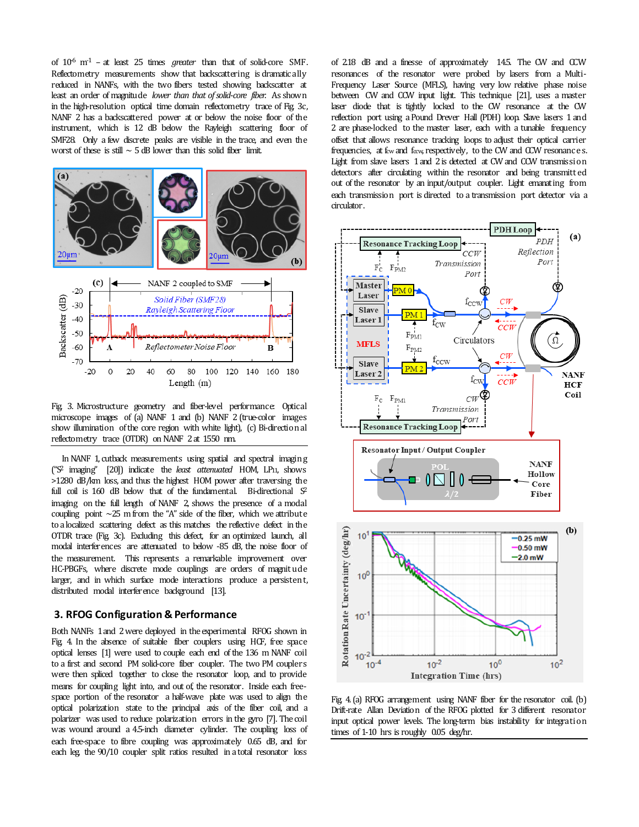of 10-6 m-1 – at least 25 times *greater* than that of solid-core SMF. Reflectometry measurements show that backscattering is dramatically reduced in NANFs, with the two fibers tested showing backscatter at least an order of magnitude *lower than that of solid-core fiber*. As shown in the high-resolution optical time domain reflectometry trace of Fig. 3c, NANF 2 has a backscattered power at or below the noise floor of the instrument, which is 12 dB below the Rayleigh scattering floor of SMF28. Only a few discrete peaks are visible in the trace, and even the worst of these is still  $\sim$  5 dB lower than this solid fiber limit.



Fig. 3. Microstructure geometry and fiber-level performance: Optical microscope images of (a) NANF 1 and (b) NANF 2 (true-color images show illumination of the core region with white light), (c) Bi-directional reflectometry trace (OTDR) on NANF 2 at 1550 nm.

In NANF 1, cutback measurements using spatial and spectral imaging ("S2 imaging" [20]) indicate the *least attenuated* HOM, LP11, shows >1280 dB/km loss, and thus the highest HOM power after traversing the full coil is 160 dB below that of the fundamental. Bi-directional  $S^2$ imaging on the full length of NANF 2, shows the presence of a modal coupling point  $\sim$ 25 m from the "A" side of the fiber, which we attribute to a localized scattering defect as this matches the reflective defect in the OTDR trace (Fig. 3c). Excluding this defect, for an optimized launch, all modal interferences are attenuated to below -85 dB, the noise floor of the measurement. This represents a remarkable improvement over HC-PBGFs, where discrete mode couplings are orders of magnit ude larger, and in which surface mode interactions produce a persistent, distributed modal interference background [13].

# **3. RFOG Configuration & Performance**

Both NANFs 1 and 2 were deployed in the experimental RFOG shown in Fig. 4. In the absence of suitable fiber couplers using HCF, free space optical lenses [1] were used to couple each end of the 136 m NANF coil to a first and second PM solid-core fiber coupler. The two PM couplers were then spliced together to close the resonator loop, and to provide means for coupling light into, and out of, the resonator. Inside each freespace portion of the resonator a half-wave plate was used to align the optical polarization state to the principal axis of the fiber coil, and a polarizer was used to reduce polarization errors in the gyro [7]. The coil was wound around a 4.5-inch diameter cylinder. The coupling loss of each free-space to fibre coupling was approximately 0.65 dB, and for each leg, the 90/10 coupler split ratios resulted in a total resonator loss

of 2.18 dB and a finesse of approximately 14.5. The CW and CCW resonances of the resonator were probed by lasers from a Multi-Frequency Laser Source (MFLS), having very low relative phase noise between CW and CCW input light. This technique [21], uses a master laser diode that is tightly locked to the CW resonance at the CW reflection port using a Pound Drever Hall (PDH) loop. Slave lasers 1 and 2 are phase-locked to the master laser, each with a tunable frequency offset that allows resonance tracking loops to adjust their optical carrier frequencies, at fax and fax, respectively, to the CW and CCW resonances. Light from slave lasers 1 and 2 is detected at CW and CCW transmission detectors after circulating within the resonator and being transmitt ed out of the resonator by an input/output coupler. Light emanating from each transmission port is directed to a transmission port detector via a circulator.



Fig. 4. (a) RFOG arrangement using NANF fiber for the resonator coil. (b) Drift-rate Allan Deviation of the RFOG plotted for 3 different resonator input optical power levels. The long-term bias instability for integration times of 1-10 hrs is roughly 0.05 deg/hr.